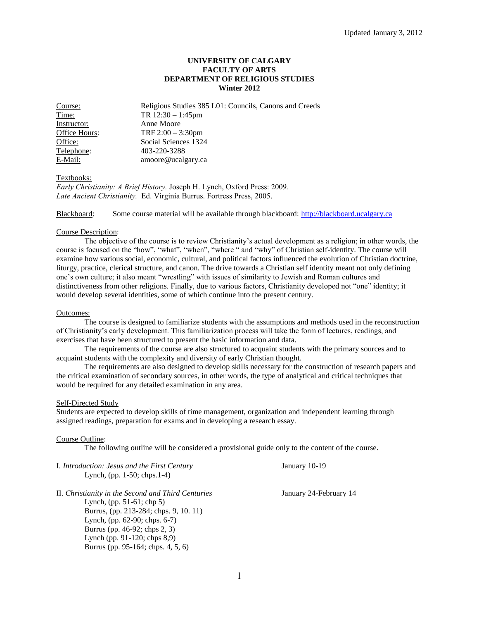## **UNIVERSITY OF CALGARY FACULTY OF ARTS DEPARTMENT OF RELIGIOUS STUDIES Winter 2012**

Course: Religious Studies 385 L01: Councils, Canons and Creeds Time: TR 12:30 – 1:45pm Instructor: Anne Moore Office Hours: TRF 2:00 – 3:30pm<br>Office: Social Sciences 1324 Social Sciences 1324 Telephone: 403-220-3288 E-Mail: amoore@ucalgary.ca

### Textbooks:

*Early Christianity: A Brief History.* Joseph H. Lynch, Oxford Press: 2009. *Late Ancient Christianity.* Ed. Virginia Burrus. Fortress Press, 2005.

Blackboard: Some course material will be available through blackboard: [http://blackboard.ucalgary.ca](http://blackboard.ucalgary.ca/)

### Course Description:

The objective of the course is to review Christianity's actual development as a religion; in other words, the course is focused on the "how", "what", "when", "where " and "why" of Christian self-identity. The course will examine how various social, economic, cultural, and political factors influenced the evolution of Christian doctrine, liturgy, practice, clerical structure, and canon. The drive towards a Christian self identity meant not only defining one's own culture; it also meant "wrestling" with issues of similarity to Jewish and Roman cultures and distinctiveness from other religions. Finally, due to various factors, Christianity developed not "one" identity; it would develop several identities, some of which continue into the present century.

### Outcomes:

The course is designed to familiarize students with the assumptions and methods used in the reconstruction of Christianity's early development. This familiarization process will take the form of lectures, readings, and exercises that have been structured to present the basic information and data.

The requirements of the course are also structured to acquaint students with the primary sources and to acquaint students with the complexity and diversity of early Christian thought.

The requirements are also designed to develop skills necessary for the construction of research papers and the critical examination of secondary sources, in other words, the type of analytical and critical techniques that would be required for any detailed examination in any area.

### Self-Directed Study

Students are expected to develop skills of time management, organization and independent learning through assigned readings, preparation for exams and in developing a research essay.

## Course Outline:

The following outline will be considered a provisional guide only to the content of the course.

| I. Introduction: Jesus and the First Century<br>Lynch, (pp. $1-50$ ; chps. $1-4$ )                                                                                                                                               | January 10-19          |
|----------------------------------------------------------------------------------------------------------------------------------------------------------------------------------------------------------------------------------|------------------------|
| II. Christianity in the Second and Third Centuries<br>Lynch, $(pp. 51-61; chp 5)$<br>Burrus, (pp. 213-284; chps. 9, 10. 11)<br>Lynch, (pp. 62-90; chps. 6-7)<br>Burrus (pp. 46-92; chps 2, 3)<br>Lynch (pp. 91-120; chps $8,9$ ) | January 24-February 14 |
| Burrus (pp. 95-164; chps. 4, 5, 6)                                                                                                                                                                                               |                        |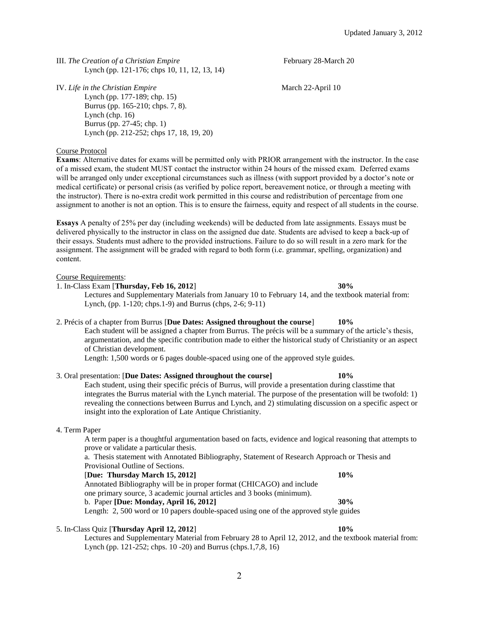IV. *Life in the Christian Empire* **March 22-April 10** March 22-April 10 Lynch (pp. 177-189; chp. 15) Burrus (pp. 165-210; chps. 7, 8). Lynch (chp. 16) Burrus (pp. 27-45; chp. 1) Lynch (pp. 212-252; chps 17, 18, 19, 20)

Course Protocol

**Exams**: Alternative dates for exams will be permitted only with PRIOR arrangement with the instructor. In the case of a missed exam, the student MUST contact the instructor within 24 hours of the missed exam. Deferred exams will be arranged only under exceptional circumstances such as illness (with support provided by a doctor's note or medical certificate) or personal crisis (as verified by police report, bereavement notice, or through a meeting with the instructor). There is no-extra credit work permitted in this course and redistribution of percentage from one assignment to another is not an option. This is to ensure the fairness, equity and respect of all students in the course.

**Essays** A penalty of 25% per day (including weekends) will be deducted from late assignments. Essays must be delivered physically to the instructor in class on the assigned due date. Students are advised to keep a back-up of their essays. Students must adhere to the provided instructions. Failure to do so will result in a zero mark for the assignment. The assignment will be graded with regard to both form (i.e. grammar, spelling, organization) and content.

### Course Requirements:

1. In-Class Exam [**Thursday, Feb 16, 2012**] **30%**

Lectures and Supplementary Materials from January 10 to February 14, and the textbook material from: Lynch, (pp. 1-120; chps.1-9) and Burrus (chps, 2-6; 9-11)

## 2. Précis of a chapter from Burrus [**Due Dates: Assigned throughout the course**] **10%**

Each student will be assigned a chapter from Burrus. The précis will be a summary of the article's thesis, argumentation, and the specific contribution made to either the historical study of Christianity or an aspect of Christian development.

Length: 1,500 words or 6 pages double-spaced using one of the approved style guides.

# 3. Oral presentation: [**Due Dates: Assigned throughout the course] 10%**

Each student, using their specific précis of Burrus, will provide a presentation during classtime that integrates the Burrus material with the Lynch material. The purpose of the presentation will be twofold: 1) revealing the connections between Burrus and Lynch, and 2) stimulating discussion on a specific aspect or insight into the exploration of Late Antique Christianity.

# 4. Term Paper

A term paper is a thoughtful argumentation based on facts, evidence and logical reasoning that attempts to prove or validate a particular thesis.

a. Thesis statement with Annotated Bibliography, Statement of Research Approach or Thesis and Provisional Outline of Sections.

[**Due: Thursday March 15, 2012] 10%** Annotated Bibliography will be in proper format (CHICAGO) and include

one primary source, 3 academic journal articles and 3 books (minimum).

### b. Paper **[Due: Monday, April 16, 2012] 30%**

Length: 2, 500 word or 10 papers double-spaced using one of the approved style guides

### 5. In-Class Quiz [**Thursday April 12, 2012**] **10%**

Lectures and Supplementary Material from February 28 to April 12, 2012, and the textbook material from: Lynch (pp. 121-252; chps. 10 -20) and Burrus (chps.1,7,8, 16)

2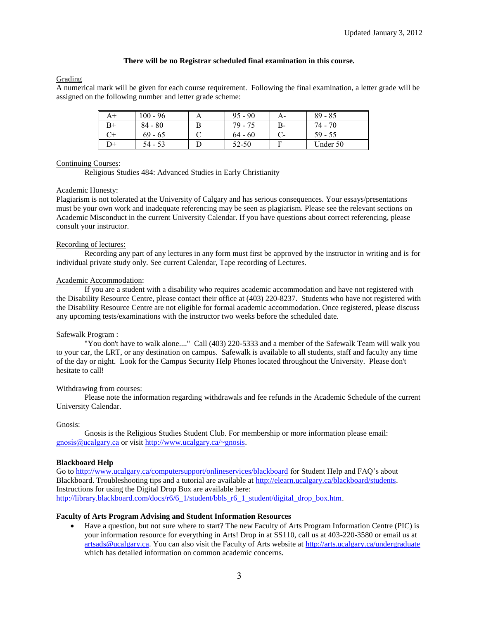# **There will be no Registrar scheduled final examination in this course.**

# Grading

A numerical mark will be given for each course requirement. Following the final examination, a letter grade will be assigned on the following number and letter grade scheme:

| A+     | $100 - 96$ | $95 - 90$ | А- | $89 - 85$ |
|--------|------------|-----------|----|-----------|
| B+     | $84 - 80$  | 79 - 75   | B- | 74 - 70   |
|        | $69 - 65$  | $64 - 60$ |    | $59 - 55$ |
| $^{+}$ | 54 - 53    | 52-50     |    | Under 50  |

# Continuing Courses:

Religious Studies 484: Advanced Studies in Early Christianity

# Academic Honesty:

Plagiarism is not tolerated at the University of Calgary and has serious consequences. Your essays/presentations must be your own work and inadequate referencing may be seen as plagiarism. Please see the relevant sections on Academic Misconduct in the current University Calendar. If you have questions about correct referencing, please consult your instructor.

# Recording of lectures:

Recording any part of any lectures in any form must first be approved by the instructor in writing and is for individual private study only. See current Calendar, Tape recording of Lectures.

## Academic Accommodation:

If you are a student with a disability who requires academic accommodation and have not registered with the Disability Resource Centre, please contact their office at (403) 220-8237. Students who have not registered with the Disability Resource Centre are not eligible for formal academic accommodation. Once registered, please discuss any upcoming tests/examinations with the instructor two weeks before the scheduled date.

# Safewalk Program :

"You don't have to walk alone...." Call (403) 220-5333 and a member of the Safewalk Team will walk you to your car, the LRT, or any destination on campus. Safewalk is available to all students, staff and faculty any time of the day or night. Look for the Campus Security Help Phones located throughout the University. Please don't hesitate to call!

# Withdrawing from courses:

Please note the information regarding withdrawals and fee refunds in the Academic Schedule of the current University Calendar.

# Gnosis:

Gnosis is the Religious Studies Student Club. For membership or more information please email: [gnosis@ucalgary.ca](mailto:gnosis@ucalgary.ca) or visit [http://www.ucalgary.ca/~gnosis.](http://www.ucalgary.ca/~gnosis)

# **Blackboard Help**

Go to<http://www.ucalgary.ca/computersupport/onlineservices/blackboard> for Student Help and FAQ's about Blackboard. Troubleshooting tips and a tutorial are available at [http://elearn.ucalgary.ca/blackboard/students.](http://elearn.ucalgary.ca/blackboard/students)  Instructions for using the Digital Drop Box are available here: [http://library.blackboard.com/docs/r6/6\\_1/student/bbls\\_r6\\_1\\_student/digital\\_drop\\_box.htm.](http://library.blackboard.com/docs/r6/6_1/student/bbls_r6_1_student/digital_drop_box.htm)

### **Faculty of Arts Program Advising and Student Information Resources**

 Have a question, but not sure where to start? The new Faculty of Arts Program Information Centre (PIC) is your information resource for everything in Arts! Drop in at SS110, call us at 403-220-3580 or email us at [artsads@ucalgary.ca.](mailto:artsads@ucalgary.ca) You can also visit the Faculty of Arts website at<http://arts.ucalgary.ca/undergraduate> which has detailed information on common academic concerns.